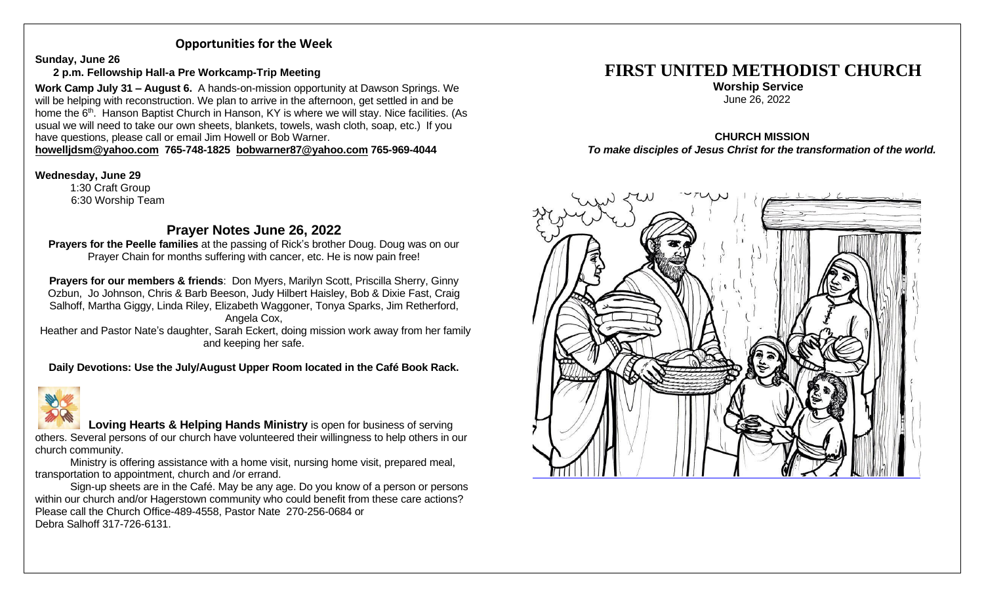## **Opportunities for the Week**

**Sunday, June 26**

### **2 p.m. Fellowship Hall-a Pre Workcamp-Trip Meeting**

**Work Camp July 31 – August 6.** A hands-on-mission opportunity at Dawson Springs. We will be helping with reconstruction. We plan to arrive in the afternoon, get settled in and be home the 6<sup>th</sup>. Hanson Baptist Church in Hanson, KY is where we will stay. Nice facilities. (As usual we will need to take our own sheets, blankets, towels, wash cloth, soap, etc.) If you have questions, please call or email Jim Howell or Bob Warner.

#### **[howelljdsm@yahoo.com](mailto:howelljdsm@yahoo.com) 765-748-1825 [bobwarner87@yahoo.com](mailto:bobwarner87@yahoo.com) 765-969-4044**

#### **Wednesday, June 29**

1:30 Craft Group 6:30 Worship Team

# **Prayer Notes June 26, 2022**

**Prayers for the Peelle families** at the passing of Rick's brother Doug. Doug was on our Prayer Chain for months suffering with cancer, etc. He is now pain free!

**Prayers for our members & friends**: Don Myers, Marilyn Scott, Priscilla Sherry, Ginny Ozbun, Jo Johnson, Chris & Barb Beeson, Judy Hilbert Haisley, Bob & Dixie Fast, Craig Salhoff, Martha Giggy, Linda Riley, Elizabeth Waggoner, Tonya Sparks, Jim Retherford, Angela Cox,

Heather and Pastor Nate's daughter, Sarah Eckert, doing mission work away from her family and keeping her safe.

**Daily Devotions: Use the July/August Upper Room located in the Café Book Rack.**



 **Loving Hearts & Helping Hands Ministry** is open for business of serving others. Several persons of our church have volunteered their willingness to help others in our church community.

Ministry is offering assistance with a home visit, nursing home visit, prepared meal, transportation to appointment, church and /or errand.

Sign-up sheets are in the Café. May be any age. Do you know of a person or persons within our church and/or Hagerstown community who could benefit from these care actions? Please call the Church Office-489-4558, Pastor Nate 270-256-0684 or Debra Salhoff 317-726-6131.

# **FIRST UNITED METHODIST CHURCH**

 **Worship Service** June 26, 2022

#### **CHURCH MISSION** *To make disciples of Jesus Christ for the transformation of the world.*

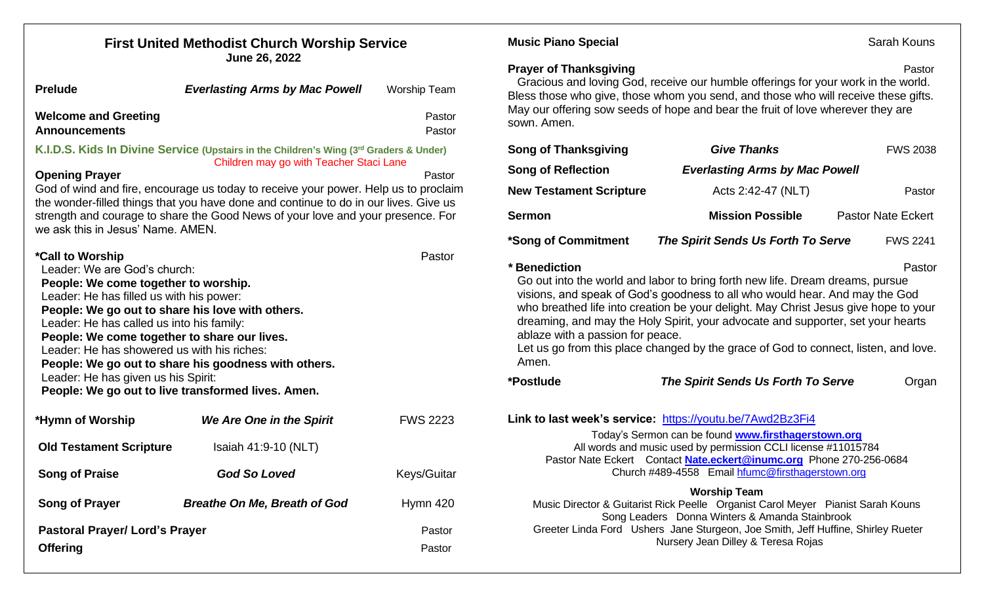| <b>First United Methodist Church Worship Service</b><br>June 26, 2022                                                                                                                                                                                                                                                                                                                                                                                                                               |                                                  |                                                                                                                        | Sarah Kouns<br><b>Music Piano Special</b>                                                                                                                                                                                                                                                                                                                                                                                                                                                                                                                        |                                                                                                                                                                                                                                                            |                           |
|-----------------------------------------------------------------------------------------------------------------------------------------------------------------------------------------------------------------------------------------------------------------------------------------------------------------------------------------------------------------------------------------------------------------------------------------------------------------------------------------------------|--------------------------------------------------|------------------------------------------------------------------------------------------------------------------------|------------------------------------------------------------------------------------------------------------------------------------------------------------------------------------------------------------------------------------------------------------------------------------------------------------------------------------------------------------------------------------------------------------------------------------------------------------------------------------------------------------------------------------------------------------------|------------------------------------------------------------------------------------------------------------------------------------------------------------------------------------------------------------------------------------------------------------|---------------------------|
| <b>Prelude</b><br><b>Welcome and Greeting</b><br><b>Announcements</b>                                                                                                                                                                                                                                                                                                                                                                                                                               | <b>Everlasting Arms by Mac Powell</b>            | <b>Worship Team</b><br>Pastor<br>Pastor                                                                                | <b>Prayer of Thanksgiving</b><br>sown. Amen.                                                                                                                                                                                                                                                                                                                                                                                                                                                                                                                     | Gracious and loving God, receive our humble offerings for your work in the world.<br>Bless those who give, those whom you send, and those who will receive these gifts.<br>May our offering sow seeds of hope and bear the fruit of love wherever they are | Pastor                    |
| K.I.D.S. Kids In Divine Service (Upstairs in the Children's Wing (3rd Graders & Under)<br>Children may go with Teacher Staci Lane<br><b>Opening Prayer</b><br>Pastor                                                                                                                                                                                                                                                                                                                                |                                                  | <b>Song of Thanksgiving</b>                                                                                            | <b>Give Thanks</b>                                                                                                                                                                                                                                                                                                                                                                                                                                                                                                                                               | <b>FWS 2038</b>                                                                                                                                                                                                                                            |                           |
|                                                                                                                                                                                                                                                                                                                                                                                                                                                                                                     |                                                  |                                                                                                                        | <b>Song of Reflection</b>                                                                                                                                                                                                                                                                                                                                                                                                                                                                                                                                        | <b>Everlasting Arms by Mac Powell</b>                                                                                                                                                                                                                      |                           |
| God of wind and fire, encourage us today to receive your power. Help us to proclaim<br>the wonder-filled things that you have done and continue to do in our lives. Give us<br>strength and courage to share the Good News of your love and your presence. For<br>we ask this in Jesus' Name, AMEN.                                                                                                                                                                                                 |                                                  |                                                                                                                        | <b>New Testament Scripture</b>                                                                                                                                                                                                                                                                                                                                                                                                                                                                                                                                   | Acts 2:42-47 (NLT)                                                                                                                                                                                                                                         | Pastor                    |
|                                                                                                                                                                                                                                                                                                                                                                                                                                                                                                     |                                                  |                                                                                                                        | <b>Sermon</b>                                                                                                                                                                                                                                                                                                                                                                                                                                                                                                                                                    | <b>Mission Possible</b>                                                                                                                                                                                                                                    | <b>Pastor Nate Eckert</b> |
|                                                                                                                                                                                                                                                                                                                                                                                                                                                                                                     |                                                  |                                                                                                                        | *Song of Commitment                                                                                                                                                                                                                                                                                                                                                                                                                                                                                                                                              | The Spirit Sends Us Forth To Serve                                                                                                                                                                                                                         | <b>FWS 2241</b>           |
| *Call to Worship<br>Pastor<br>Leader: We are God's church:<br>People: We come together to worship.<br>Leader: He has filled us with his power:<br>People: We go out to share his love with others.<br>Leader: He has called us into his family:<br>People: We come together to share our lives.<br>Leader: He has showered us with his riches:<br>People: We go out to share his goodness with others.<br>Leader: He has given us his Spirit:<br>People: We go out to live transformed lives. Amen. |                                                  |                                                                                                                        | *Benediction<br>Pastor<br>Go out into the world and labor to bring forth new life. Dream dreams, pursue<br>visions, and speak of God's goodness to all who would hear. And may the God<br>who breathed life into creation be your delight. May Christ Jesus give hope to your<br>dreaming, and may the Holy Spirit, your advocate and supporter, set your hearts<br>ablaze with a passion for peace.<br>Let us go from this place changed by the grace of God to connect, listen, and love.<br>Amen.<br>*Postlude<br>The Spirit Sends Us Forth To Serve<br>Organ |                                                                                                                                                                                                                                                            |                           |
| *Hymn of Worship<br><b>Old Testament Scripture</b>                                                                                                                                                                                                                                                                                                                                                                                                                                                  | We Are One in the Spirit<br>Isaiah 41:9-10 (NLT) | <b>FWS 2223</b>                                                                                                        | Link to last week's service: https://youtu.be/7Awd2Bz3Fi4<br>Today's Sermon can be found www.firsthagerstown.org<br>All words and music used by permission CCLI license #11015784<br>Pastor Nate Eckert Contact Nate.eckert@inumc.org Phone 270-256-0684<br>Church #489-4558 Email hfumc@firsthagerstown.org                                                                                                                                                                                                                                                     |                                                                                                                                                                                                                                                            |                           |
| <b>Song of Praise</b>                                                                                                                                                                                                                                                                                                                                                                                                                                                                               | <b>God So Loved</b>                              | Keys/Guitar                                                                                                            |                                                                                                                                                                                                                                                                                                                                                                                                                                                                                                                                                                  |                                                                                                                                                                                                                                                            |                           |
| <b>Song of Prayer</b>                                                                                                                                                                                                                                                                                                                                                                                                                                                                               | <b>Breathe On Me, Breath of God</b>              | Hymn 420                                                                                                               | <b>Worship Team</b><br>Music Director & Guitarist Rick Peelle Organist Carol Meyer Pianist Sarah Kouns<br>Song Leaders Donna Winters & Amanda Stainbrook                                                                                                                                                                                                                                                                                                                                                                                                         |                                                                                                                                                                                                                                                            |                           |
| <b>Pastoral Prayer/ Lord's Prayer</b><br>Pastor<br><b>Offering</b><br>Pastor                                                                                                                                                                                                                                                                                                                                                                                                                        |                                                  | Greeter Linda Ford Ushers Jane Sturgeon, Joe Smith, Jeff Huffine, Shirley Rueter<br>Nursery Jean Dilley & Teresa Rojas |                                                                                                                                                                                                                                                                                                                                                                                                                                                                                                                                                                  |                                                                                                                                                                                                                                                            |                           |